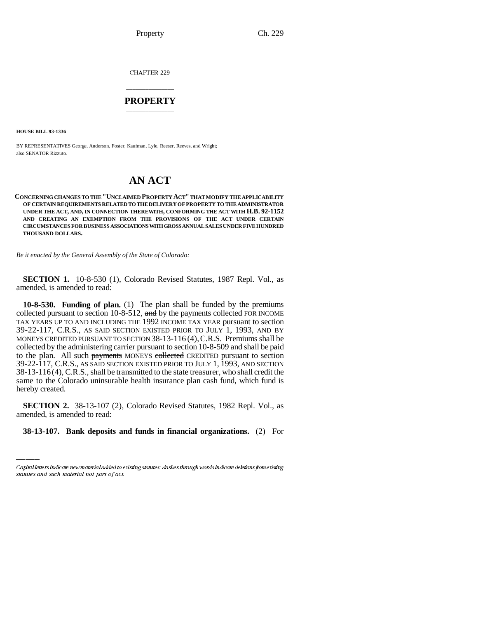Property Ch. 229

CHAPTER 229

## \_\_\_\_\_\_\_\_\_\_\_\_\_\_\_ **PROPERTY** \_\_\_\_\_\_\_\_\_\_\_\_\_\_\_

**HOUSE BILL 93-1336**

BY REPRESENTATIVES George, Anderson, Foster, Kaufman, Lyle, Reeser, Reeves, and Wright; also SENATOR Rizzuto.

## **AN ACT**

**CONCERNING CHANGES TO THE "UNCLAIMED PROPERTY ACT" THAT MODIFY THE APPLICABILITY OF CERTAIN REQUIREMENTS RELATED TO THE DELIVERY OF PROPERTY TO THE ADMINISTRATOR UNDER THE ACT, AND, IN CONNECTION THEREWITH, CONFORMING THE ACT WITH H.B. 92-1152 AND CREATING AN EXEMPTION FROM THE PROVISIONS OF THE ACT UNDER CERTAIN CIRCUMSTANCES FOR BUSINESS ASSOCIATIONS WITH GROSS ANNUAL SALES UNDER FIVE HUNDRED THOUSAND DOLLARS.**

*Be it enacted by the General Assembly of the State of Colorado:*

**SECTION 1.** 10-8-530 (1), Colorado Revised Statutes, 1987 Repl. Vol., as amended, is amended to read:

**10-8-530. Funding of plan.** (1) The plan shall be funded by the premiums collected pursuant to section 10-8-512, and by the payments collected FOR INCOME TAX YEARS UP TO AND INCLUDING THE 1992 INCOME TAX YEAR pursuant to section 39-22-117, C.R.S., AS SAID SECTION EXISTED PRIOR TO JULY 1, 1993, AND BY MONEYS CREDITED PURSUANT TO SECTION 38-13-116 (4),C.R.S. Premiums shall be collected by the administering carrier pursuant to section 10-8-509 and shall be paid to the plan. All such payments MONEYS collected CREDITED pursuant to section 39-22-117, C.R.S., AS SAID SECTION EXISTED PRIOR TO JULY 1, 1993, AND SECTION 38-13-116 (4), C.R.S., shall be transmitted to the state treasurer, who shall credit the same to the Colorado uninsurable health insurance plan cash fund, which fund is hereby created.

 **SECTION 2.** 38-13-107 (2), Colorado Revised Statutes, 1982 Repl. Vol., as amended, is amended to read:

**38-13-107. Bank deposits and funds in financial organizations.** (2) For

Capital letters indicate new material added to existing statutes; dashes through words indicate deletions from existing statutes and such material not part of act.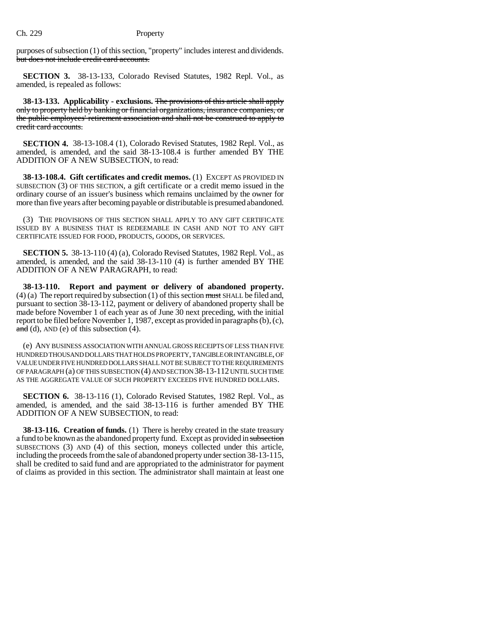purposes of subsection (1) of this section, "property" includes interest and dividends. but does not include credit card accounts.

**SECTION 3.** 38-13-133, Colorado Revised Statutes, 1982 Repl. Vol., as amended, is repealed as follows:

**38-13-133. Applicability - exclusions.** The provisions of this article shall apply only to property held by banking or financial organizations, insurance companies, or the public employees' retirement association and shall not be construed to apply to credit card accounts.

**SECTION 4.** 38-13-108.4 (1), Colorado Revised Statutes, 1982 Repl. Vol., as amended, is amended, and the said 38-13-108.4 is further amended BY THE ADDITION OF A NEW SUBSECTION, to read:

**38-13-108.4. Gift certificates and credit memos.** (1) EXCEPT AS PROVIDED IN SUBSECTION (3) OF THIS SECTION, a gift certificate or a credit memo issued in the ordinary course of an issuer's business which remains unclaimed by the owner for more than five years after becoming payable or distributable is presumed abandoned.

(3) THE PROVISIONS OF THIS SECTION SHALL APPLY TO ANY GIFT CERTIFICATE ISSUED BY A BUSINESS THAT IS REDEEMABLE IN CASH AND NOT TO ANY GIFT CERTIFICATE ISSUED FOR FOOD, PRODUCTS, GOODS, OR SERVICES.

**SECTION 5.** 38-13-110 (4) (a), Colorado Revised Statutes, 1982 Repl. Vol., as amended, is amended, and the said 38-13-110 (4) is further amended BY THE ADDITION OF A NEW PARAGRAPH, to read:

**38-13-110. Report and payment or delivery of abandoned property.**  $(4)$  (a) The report required by subsection (1) of this section must SHALL be filed and, pursuant to section 38-13-112, payment or delivery of abandoned property shall be made before November 1 of each year as of June 30 next preceding, with the initial report to be filed before November 1, 1987, except as provided in paragraphs (b), (c), and (d), AND (e) of this subsection  $(4)$ .

(e) ANY BUSINESS ASSOCIATION WITH ANNUAL GROSS RECEIPTS OF LESS THAN FIVE HUNDRED THOUSAND DOLLARS THAT HOLDS PROPERTY, TANGIBLE OR INTANGIBLE, OF VALUE UNDER FIVE HUNDRED DOLLARS SHALL NOT BE SUBJECT TO THE REQUIREMENTS OF PARAGRAPH (a) OF THIS SUBSECTION (4) AND SECTION 38-13-112 UNTIL SUCH TIME AS THE AGGREGATE VALUE OF SUCH PROPERTY EXCEEDS FIVE HUNDRED DOLLARS.

**SECTION 6.** 38-13-116 (1), Colorado Revised Statutes, 1982 Repl. Vol., as amended, is amended, and the said 38-13-116 is further amended BY THE ADDITION OF A NEW SUBSECTION, to read:

**38-13-116. Creation of funds.** (1) There is hereby created in the state treasury a fund to be known as the abandoned property fund. Except as provided in subsection SUBSECTIONS (3) AND (4) of this section, moneys collected under this article, including the proceeds from the sale of abandoned property under section 38-13-115, shall be credited to said fund and are appropriated to the administrator for payment of claims as provided in this section. The administrator shall maintain at least one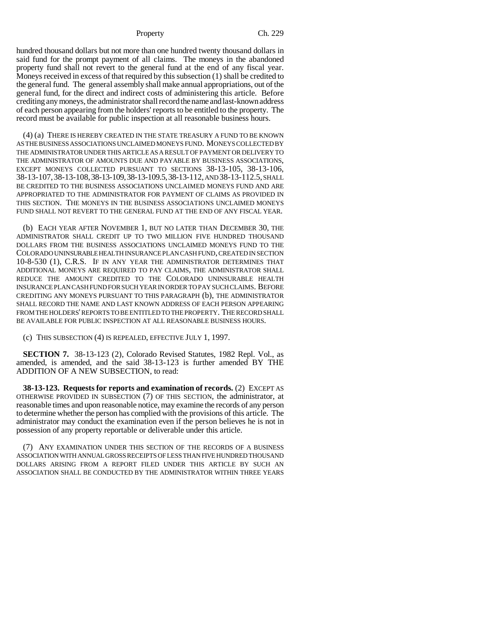## Property Ch. 229

hundred thousand dollars but not more than one hundred twenty thousand dollars in said fund for the prompt payment of all claims. The moneys in the abandoned property fund shall not revert to the general fund at the end of any fiscal year. Moneys received in excess of that required by this subsection (1) shall be credited to the general fund. The general assembly shall make annual appropriations, out of the general fund, for the direct and indirect costs of administering this article. Before crediting any moneys, the administrator shall record the name and last-known address of each person appearing from the holders' reports to be entitled to the property. The record must be available for public inspection at all reasonable business hours.

(4) (a) THERE IS HEREBY CREATED IN THE STATE TREASURY A FUND TO BE KNOWN AS THE BUSINESS ASSOCIATIONS UNCLAIMED MONEYS FUND. MONEYS COLLECTED BY THE ADMINISTRATOR UNDER THIS ARTICLE AS A RESULT OF PAYMENT OR DELIVERY TO THE ADMINISTRATOR OF AMOUNTS DUE AND PAYABLE BY BUSINESS ASSOCIATIONS, EXCEPT MONEYS COLLECTED PURSUANT TO SECTIONS 38-13-105, 38-13-106, 38-13-107,38-13-108,38-13-109,38-13-109.5,38-13-112, AND 38-13-112.5, SHALL BE CREDITED TO THE BUSINESS ASSOCIATIONS UNCLAIMED MONEYS FUND AND ARE APPROPRIATED TO THE ADMINISTRATOR FOR PAYMENT OF CLAIMS AS PROVIDED IN THIS SECTION. THE MONEYS IN THE BUSINESS ASSOCIATIONS UNCLAIMED MONEYS FUND SHALL NOT REVERT TO THE GENERAL FUND AT THE END OF ANY FISCAL YEAR.

(b) EACH YEAR AFTER NOVEMBER 1, BUT NO LATER THAN DECEMBER 30, THE ADMINISTRATOR SHALL CREDIT UP TO TWO MILLION FIVE HUNDRED THOUSAND DOLLARS FROM THE BUSINESS ASSOCIATIONS UNCLAIMED MONEYS FUND TO THE COLORADO UNINSURABLE HEALTH INSURANCE PLAN CASH FUND, CREATED IN SECTION 10-8-530 (1), C.R.S. IF IN ANY YEAR THE ADMINISTRATOR DETERMINES THAT ADDITIONAL MONEYS ARE REQUIRED TO PAY CLAIMS, THE ADMINISTRATOR SHALL REDUCE THE AMOUNT CREDITED TO THE COLORADO UNINSURABLE HEALTH INSURANCE PLAN CASH FUND FOR SUCH YEAR IN ORDER TO PAY SUCH CLAIMS. BEFORE CREDITING ANY MONEYS PURSUANT TO THIS PARAGRAPH (b), THE ADMINISTRATOR SHALL RECORD THE NAME AND LAST KNOWN ADDRESS OF EACH PERSON APPEARING FROM THE HOLDERS' REPORTS TO BE ENTITLED TO THE PROPERTY. THE RECORD SHALL BE AVAILABLE FOR PUBLIC INSPECTION AT ALL REASONABLE BUSINESS HOURS.

(c) THIS SUBSECTION (4) IS REPEALED, EFFECTIVE JULY 1, 1997.

**SECTION 7.** 38-13-123 (2), Colorado Revised Statutes, 1982 Repl. Vol., as amended, is amended, and the said 38-13-123 is further amended BY THE ADDITION OF A NEW SUBSECTION, to read:

**38-13-123. Requests for reports and examination of records.** (2) EXCEPT AS OTHERWISE PROVIDED IN SUBSECTION (7) OF THIS SECTION, the administrator, at reasonable times and upon reasonable notice, may examine the records of any person to determine whether the person has complied with the provisions of this article. The administrator may conduct the examination even if the person believes he is not in possession of any property reportable or deliverable under this article.

(7) ANY EXAMINATION UNDER THIS SECTION OF THE RECORDS OF A BUSINESS ASSOCIATION WITH ANNUAL GROSS RECEIPTS OF LESS THAN FIVE HUNDRED THOUSAND DOLLARS ARISING FROM A REPORT FILED UNDER THIS ARTICLE BY SUCH AN ASSOCIATION SHALL BE CONDUCTED BY THE ADMINISTRATOR WITHIN THREE YEARS